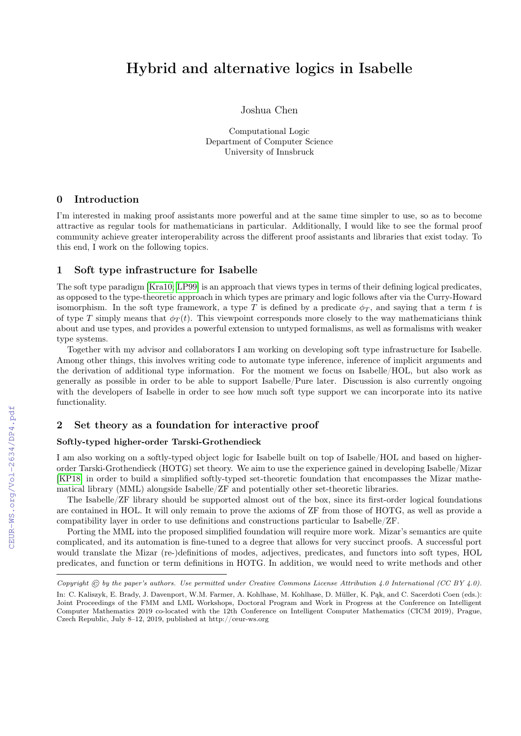# Hybrid and alternative logics in Isabelle

Joshua Chen

Computational Logic Department of Computer Science University of Innsbruck

### 0 Introduction

I'm interested in making proof assistants more powerful and at the same time simpler to use, so as to become attractive as regular tools for mathematicians in particular. Additionally, I would like to see the formal proof community achieve greater interoperability across the different proof assistants and libraries that exist today. To this end, I work on the following topics.

## 1 Soft type infrastructure for Isabelle

The soft type paradigm [\[Kra10;](#page--1-0) [LP99\]](#page--1-1) is an approach that views types in terms of their defining logical predicates, as opposed to the type-theoretic approach in which types are primary and logic follows after via the Curry-Howard isomorphism. In the soft type framework, a type T is defined by a predicate  $\phi_T$ , and saying that a term t is of type T simply means that  $\phi_T(t)$ . This viewpoint corresponds more closely to the way mathematicians think about and use types, and provides a powerful extension to untyped formalisms, as well as formalisms with weaker type systems.

Together with my advisor and collaborators I am working on developing soft type infrastructure for Isabelle. Among other things, this involves writing code to automate type inference, inference of implicit arguments and the derivation of additional type information. For the moment we focus on Isabelle/HOL, but also work as generally as possible in order to be able to support Isabelle/Pure later. Discussion is also currently ongoing with the developers of Isabelle in order to see how much soft type support we can incorporate into its native functionality.

## 2 Set theory as a foundation for interactive proof

#### Softly-typed higher-order Tarski-Grothendieck

I am also working on a softly-typed object logic for Isabelle built on top of Isabelle/HOL and based on higherorder Tarski-Grothendieck (HOTG) set theory. We aim to use the experience gained in developing Isabelle/Mizar [\[KP18\]](#page--1-2) in order to build a simplified softly-typed set-theoretic foundation that encompasses the Mizar mathematical library (MML) alongside Isabelle/ZF and potentially other set-theoretic libraries.

The Isabelle/ZF library should be supported almost out of the box, since its first-order logical foundations are contained in HOL. It will only remain to prove the axioms of ZF from those of HOTG, as well as provide a compatibility layer in order to use definitions and constructions particular to Isabelle/ZF.

Porting the MML into the proposed simplified foundation will require more work. Mizar's semantics are quite complicated, and its automation is fine-tuned to a degree that allows for very succinct proofs. A successful port would translate the Mizar (re-)definitions of modes, adjectives, predicates, and functors into soft types, HOL predicates, and function or term definitions in HOTG. In addition, we would need to write methods and other

Copyright  $\odot$  by the paper's authors. Use permitted under Creative Commons License Attribution 4.0 International (CC BY 4.0).

In: C. Kaliszyk, E. Brady, J. Davenport, W.M. Farmer, A. Kohlhase, M. Kohlhase, D. Müller, K. Pąk, and C. Sacerdoti Coen (eds.): Joint Proceedings of the FMM and LML Workshops, Doctoral Program and Work in Progress at the Conference on Intelligent Computer Mathematics 2019 co-located with the 12th Conference on Intelligent Computer Mathematics (CICM 2019), Prague, Czech Republic, July 8–12, 2019, published at http://ceur-ws.org